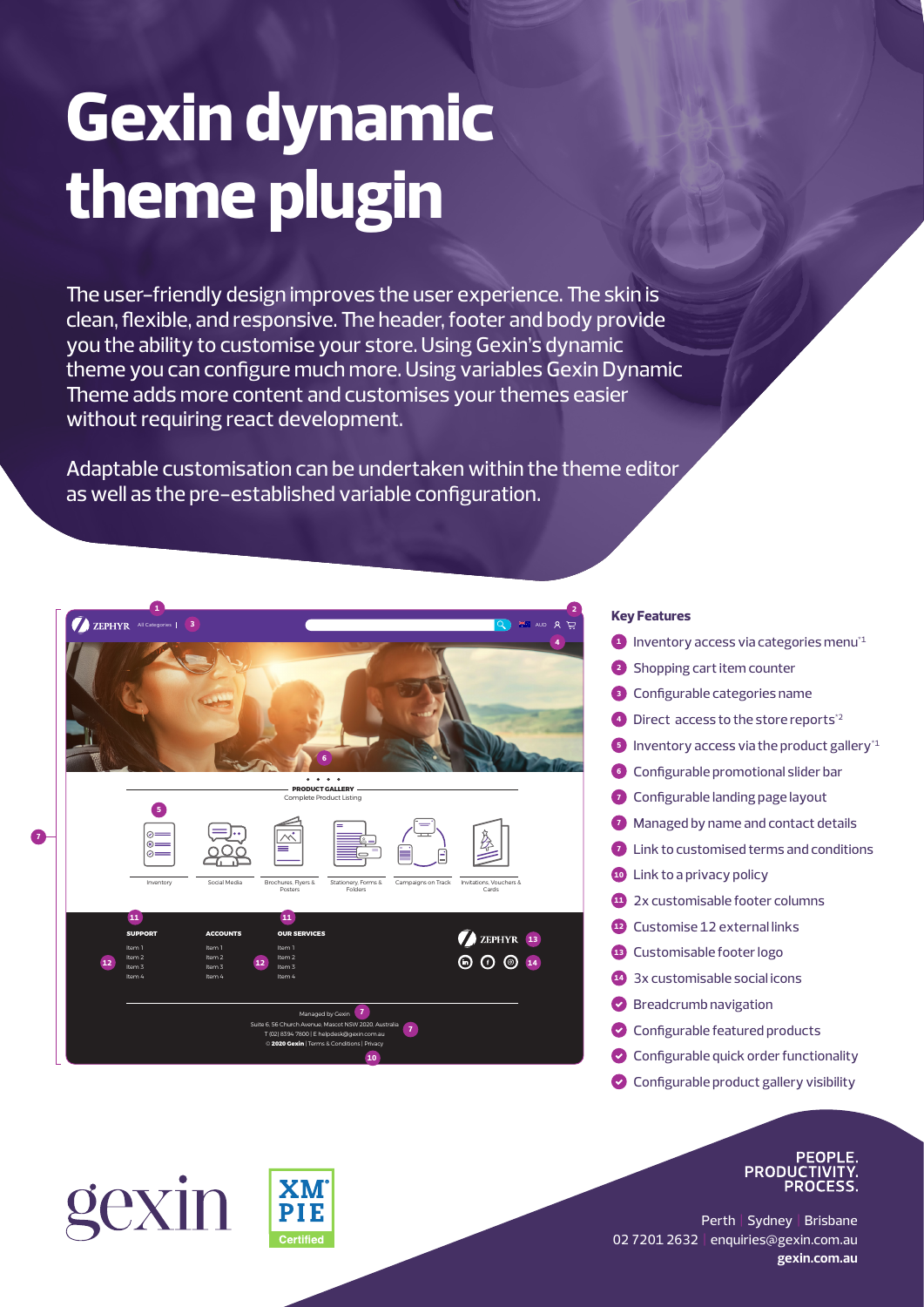# **Gexin dynamic theme plugin**

The user-friendly design improves the user experience. The skin is clean, flexible, and responsive. The header, footer and body provide you the ability to customise your store. Using Gexin's dynamic theme you can configure much more. Using variables Gexin Dynamic Theme adds more content and customises your themes easier without requiring react development.

Adaptable customisation can be undertaken within the theme editor as well as the pre-established variable configuration.



#### **Key Features**

- **1** Inventory access via categories menu<sup>\*1</sup> **2** Shopping cart item counter **<sup>3</sup>** Configurable categories name
- **4** Direct access to the store reports<sup>\*2</sup>
- **5** Inventory access via the product gallery<sup>\*1</sup>
- **<sup>6</sup>** Configurable promotional slider bar
- **<sup>7</sup>** Configurable landing page layout
- **<sup>7</sup>** Managed by name and contact details
- **<sup>7</sup>** Link to customised terms and conditions
- **10** Link to a privacy policy
- **11** 2x customisable footer columns
- **<sup>12</sup>** Customise 12 external links
- **<sup>13</sup>** Customisable footer logo
- **<sup>14</sup>** 3x customisable social icons
- **Breadcrumb navigation**
- Configurable featured products
- Configurable quick order functionality
- Configurable product gallery visibility

# **PRODL**

Perth | Sydney | Brisbane 02 7201 2632 | enquiries@gexin.com.au **gexin.com.au**